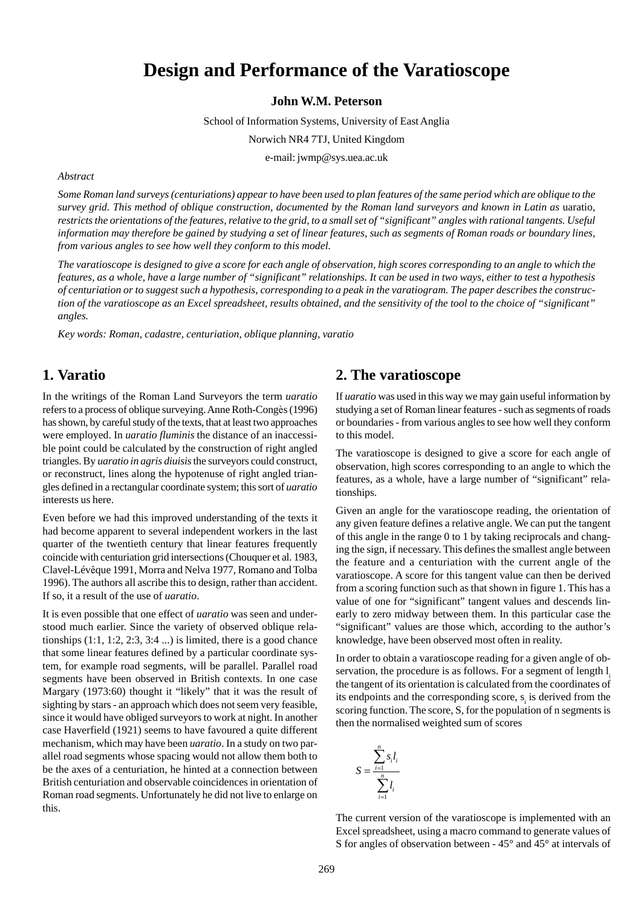# **Design and Performance of the Varatioscope**

**John W.M. Peterson**

School of Information Systems, University of East Anglia

Norwich NR4 7TJ, United Kingdom

e-mail: jwmp@sys.uea.ac.uk

*Abstract*

*Some Roman land surveys (centuriations) appear to have been used to plan features of the same period which are oblique to the survey grid. This method of oblique construction, documented by the Roman land surveyors and known in Latin as uaratio, restricts the orientations of the features, relative to the grid, to a small set of "significant" angles with rational tangents. Useful information may therefore be gained by studying a set of linear features, such as segments of Roman roads or boundary lines, from various angles to see how well they conform to this model.*

*The varatioscope is designed to give a score for each angle of observation, high scores corresponding to an angle to which the features, as a whole, have a large number of "significant" relationships. It can be used in two ways, either to test a hypothesis of centuriation or to suggest such a hypothesis, corresponding to a peak in the varatiogram. The paper describes the construction of the varatioscope as an Excel spreadsheet, results obtained, and the sensitivity of the tool to the choice of "significant" angles.*

*Key words: Roman, cadastre, centuriation, oblique planning, varatio*

## **1. Varatio**

In the writings of the Roman Land Surveyors the term *uaratio* refers to a process of oblique surveying. Anne Roth-Congès (1996) has shown, by careful study of the texts, that at least two approaches were employed. In *uaratio fluminis* the distance of an inaccessible point could be calculated by the construction of right angled triangles. By *uaratio in agris diuisis* the surveyors could construct, or reconstruct, lines along the hypotenuse of right angled triangles defined in a rectangular coordinate system; this sort of *uaratio* interests us here.

Even before we had this improved understanding of the texts it had become apparent to several independent workers in the last quarter of the twentieth century that linear features frequently coincide with centuriation grid intersections (Chouquer et al. 1983, Clavel-Lévêque 1991, Morra and Nelva 1977, Romano and Tolba 1996). The authors all ascribe this to design, rather than accident. If so, it a result of the use of *uaratio*.

It is even possible that one effect of *uaratio* was seen and understood much earlier. Since the variety of observed oblique relationships  $(1:1, 1:2, 2:3, 3:4...)$  is limited, there is a good chance that some linear features defined by a particular coordinate system, for example road segments, will be parallel. Parallel road segments have been observed in British contexts. In one case Margary (1973:60) thought it "likely" that it was the result of sighting by stars - an approach which does not seem very feasible, since it would have obliged surveyors to work at night. In another case Haverfield (1921) seems to have favoured a quite different mechanism, which may have been *uaratio*. In a study on two parallel road segments whose spacing would not allow them both to be the axes of a centuriation, he hinted at a connection between British centuriation and observable coincidences in orientation of Roman road segments. Unfortunately he did not live to enlarge on this.

#### **2. The varatioscope**

If *uaratio* was used in this way we may gain useful information by studying a set of Roman linear features - such as segments of roads or boundaries - from various angles to see how well they conform to this model.

The varatioscope is designed to give a score for each angle of observation, high scores corresponding to an angle to which the features, as a whole, have a large number of "significant" relationships.

Given an angle for the varatioscope reading, the orientation of any given feature defines a relative angle. We can put the tangent of this angle in the range 0 to 1 by taking reciprocals and changing the sign, if necessary. This defines the smallest angle between the feature and a centuriation with the current angle of the varatioscope. A score for this tangent value can then be derived from a scoring function such as that shown in figure 1. This has a value of one for "significant" tangent values and descends linearly to zero midway between them. In this particular case the "significant" values are those which, according to the author's knowledge, have been observed most often in reality.

In order to obtain a varatioscope reading for a given angle of observation, the procedure is as follows. For a segment of length l the tangent of its orientation is calculated from the coordinates of its endpoints and the corresponding score,  $s<sub>i</sub>$  is derived from the scoring function. The score, S, for the population of n segments is then the normalised weighted sum of scores

$$
S = \frac{\sum_{i=1}^{n} s_i l_i}{\sum_{i=1}^{n} l_i}
$$

The current version of the varatioscope is implemented with an Excel spreadsheet, using a macro command to generate values of S for angles of observation between - 45° and 45° at intervals of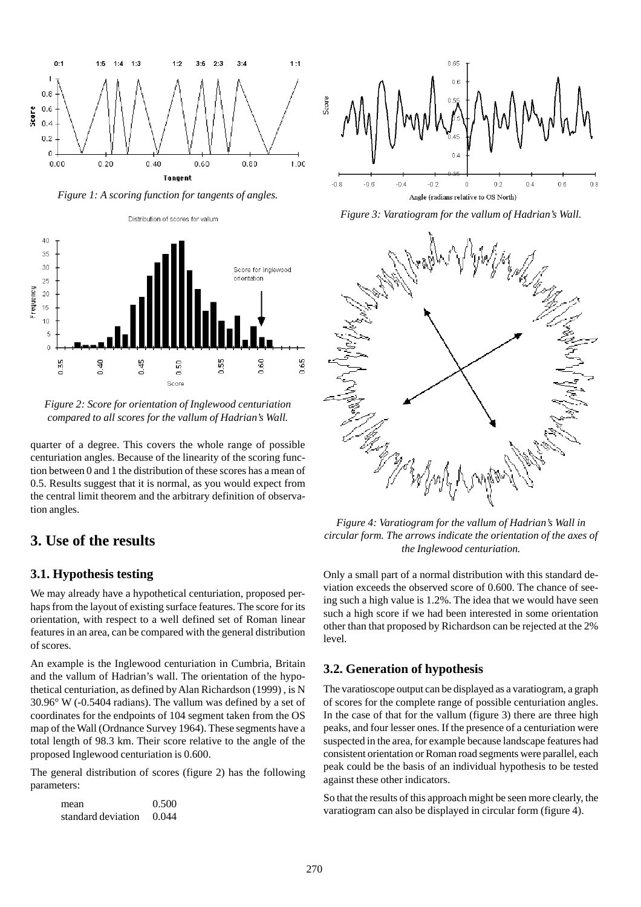

*Figure 1: A scoring function for tangents of angles.*

Distribution of scores for vallum



*Figure 2: Score for orientation of Inglewood centuriation compared to all scores for the vallum of Hadrian's Wall.*

quarter of a degree. This covers the whole range of possible centuriation angles. Because of the linearity of the scoring function between 0 and 1 the distribution of these scores has a mean of 0.5. Results suggest that it is normal, as you would expect from the central limit theorem and the arbitrary definition of observation angles.

## **3. Use of the results**

#### **3.1. Hypothesis testing**

We may already have a hypothetical centuriation, proposed perhaps from the layout of existing surface features. The score for its orientation, with respect to a well defined set of Roman linear features in an area, can be compared with the general distribution of scores.

An example is the Inglewood centuriation in Cumbria, Britain and the vallum of Hadrian's wall. The orientation of the hypothetical centuriation, as defined by Alan Richardson (1999) , is N 30.96° W (-0.5404 radians). The vallum was defined by a set of coordinates for the endpoints of 104 segment taken from the OS map of the Wall (Ordnance Survey 1964). These segments have a total length of 98.3 km. Their score relative to the angle of the proposed Inglewood centuriation is 0.600.

The general distribution of scores (figure 2) has the following parameters:

| mean               | 0.500 |
|--------------------|-------|
| standard deviation | 0.044 |



*Figure 3: Varatiogram for the vallum of Hadrian's Wall.*



*Figure 4: Varatiogram for the vallum of Hadrian's Wall in circular form. The arrows indicate the orientation of the axes of the Inglewood centuriation.*

Only a small part of a normal distribution with this standard deviation exceeds the observed score of 0.600. The chance of seeing such a high value is 1.2%. The idea that we would have seen such a high score if we had been interested in some orientation other than that proposed by Richardson can be rejected at the 2% level.

#### **3.2. Generation of hypothesis**

The varatioscope output can be displayed as a varatiogram, a graph of scores for the complete range of possible centuriation angles. In the case of that for the vallum (figure 3) there are three high peaks, and four lesser ones. If the presence of a centuriation were suspected in the area, for example because landscape features had consistent orientation or Roman road segments were parallel, each peak could be the basis of an individual hypothesis to be tested against these other indicators.

So that the results of this approach might be seen more clearly, the varatiogram can also be displayed in circular form (figure 4).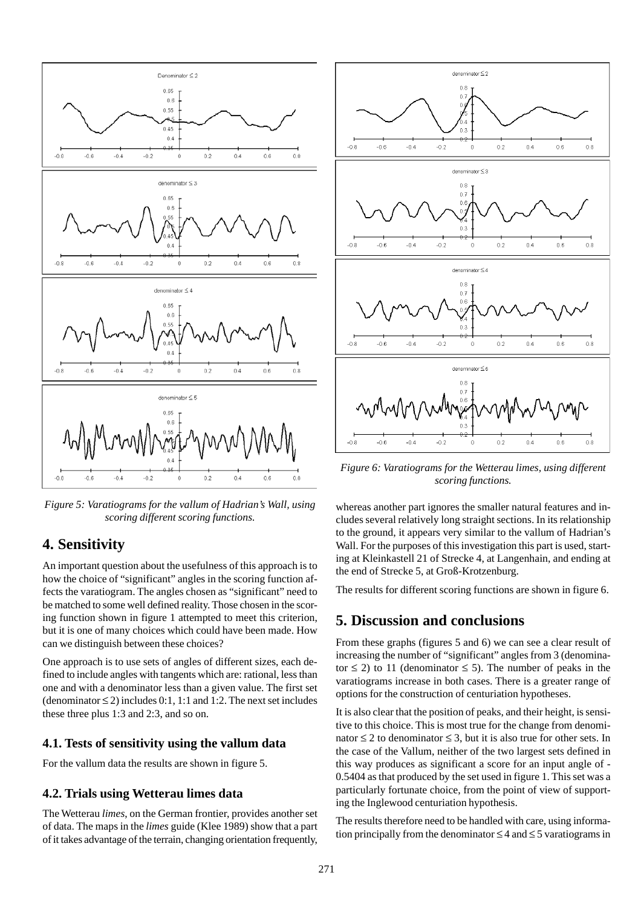

*Figure 5: Varatiograms for the vallum of Hadrian's Wall, using scoring different scoring functions.*

### **4. Sensitivity**

An important question about the usefulness of this approach is to how the choice of "significant" angles in the scoring function affects the varatiogram. The angles chosen as "significant" need to be matched to some well defined reality. Those chosen in the scoring function shown in figure 1 attempted to meet this criterion, but it is one of many choices which could have been made. How can we distinguish between these choices?

One approach is to use sets of angles of different sizes, each defined to include angles with tangents which are: rational, less than one and with a denominator less than a given value. The first set (denominator  $\leq$  2) includes 0:1, 1:1 and 1:2. The next set includes these three plus 1:3 and 2:3, and so on.

#### **4.1. Tests of sensitivity using the vallum data**

For the vallum data the results are shown in figure 5.

#### **4.2. Trials using Wetterau limes data**

The Wetterau *limes*, on the German frontier, provides another set of data. The maps in the *limes* guide (Klee 1989) show that a part of it takes advantage of the terrain, changing orientation frequently,



*Figure 6: Varatiograms for the Wetterau limes, using different scoring functions.*

whereas another part ignores the smaller natural features and includes several relatively long straight sections. In its relationship to the ground, it appears very similar to the vallum of Hadrian's Wall. For the purposes of this investigation this part is used, starting at Kleinkastell 21 of Strecke 4, at Langenhain, and ending at the end of Strecke 5, at Groß-Krotzenburg.

The results for different scoring functions are shown in figure 6.

### **5. Discussion and conclusions**

From these graphs (figures 5 and 6) we can see a clear result of increasing the number of "significant" angles from 3 (denominator  $\leq$  2) to 11 (denominator  $\leq$  5). The number of peaks in the varatiograms increase in both cases. There is a greater range of options for the construction of centuriation hypotheses.

It is also clear that the position of peaks, and their height, is sensitive to this choice. This is most true for the change from denominator  $\leq 2$  to denominator  $\leq 3$ , but it is also true for other sets. In the case of the Vallum, neither of the two largest sets defined in this way produces as significant a score for an input angle of - 0.5404 as that produced by the set used in figure 1. This set was a particularly fortunate choice, from the point of view of supporting the Inglewood centuriation hypothesis.

The results therefore need to be handled with care, using information principally from the denominator  $\leq 4$  and  $\leq 5$  varatiograms in